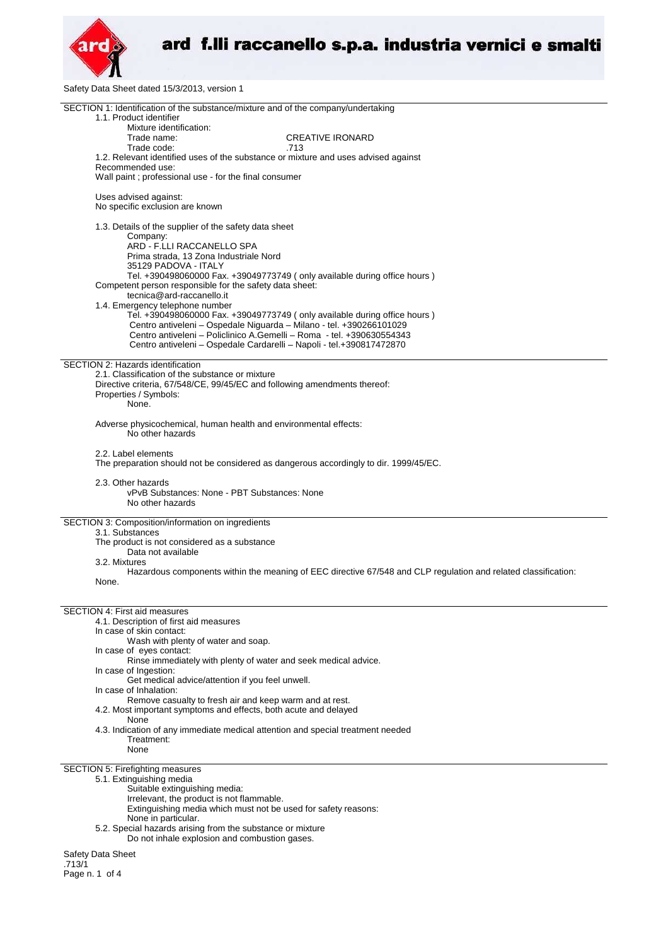

Safety Data Sheet dated 15/3/2013, version 1

| SECTION 1: Identification of the substance/mixture and of the company/undertaking<br>1.1. Product identifier<br>Mixture identification:          |  |  |
|--------------------------------------------------------------------------------------------------------------------------------------------------|--|--|
| <b>CREATIVE IRONARD</b><br>Trade name:                                                                                                           |  |  |
| Trade code:<br>.713<br>1.2. Relevant identified uses of the substance or mixture and uses advised against                                        |  |  |
| Recommended use:<br>Wall paint ; professional use - for the final consumer                                                                       |  |  |
| Uses advised against:<br>No specific exclusion are known                                                                                         |  |  |
| 1.3. Details of the supplier of the safety data sheet                                                                                            |  |  |
| Company:<br>ARD - F.LLI RACCANELLO SPA                                                                                                           |  |  |
| Prima strada, 13 Zona Industriale Nord<br>35129 PADOVA - ITALY                                                                                   |  |  |
| Tel. +390498060000 Fax. +39049773749 (only available during office hours)<br>Competent person responsible for the safety data sheet:             |  |  |
| tecnica@ard-raccanello.it<br>1.4. Emergency telephone number                                                                                     |  |  |
| Tel. +390498060000 Fax. +39049773749 (only available during office hours)<br>Centro antiveleni - Ospedale Niguarda - Milano - tel. +390266101029 |  |  |
| Centro antiveleni - Policlinico A.Gemelli - Roma - tel. +390630554343                                                                            |  |  |
| Centro antiveleni - Ospedale Cardarelli - Napoli - tel.+390817472870                                                                             |  |  |
| SECTION 2: Hazards identification<br>2.1. Classification of the substance or mixture                                                             |  |  |
| Directive criteria, 67/548/CE, 99/45/EC and following amendments thereof:<br>Properties / Symbols:                                               |  |  |
| None.                                                                                                                                            |  |  |
| Adverse physicochemical, human health and environmental effects:<br>No other hazards                                                             |  |  |
| 2.2. Label elements<br>The preparation should not be considered as dangerous accordingly to dir. 1999/45/EC.                                     |  |  |
| 2.3. Other hazards<br>vPvB Substances: None - PBT Substances: None<br>No other hazards                                                           |  |  |
| SECTION 3: Composition/information on ingredients                                                                                                |  |  |
| 3.1. Substances<br>The product is not considered as a substance                                                                                  |  |  |
| Data not available<br>3.2. Mixtures                                                                                                              |  |  |
| Hazardous components within the meaning of EEC directive 67/548 and CLP regulation and related classification:<br>None.                          |  |  |
|                                                                                                                                                  |  |  |
| <b>SECTION 4: First aid measures</b><br>4.1. Description of first aid measures                                                                   |  |  |
| In case of skin contact:                                                                                                                         |  |  |
| Wash with plenty of water and soap.<br>In case of eyes contact:                                                                                  |  |  |
| Rinse immediately with plenty of water and seek medical advice.<br>In case of Ingestion:                                                         |  |  |
| Get medical advice/attention if you feel unwell.<br>In case of Inhalation:                                                                       |  |  |
| Remove casualty to fresh air and keep warm and at rest.<br>4.2. Most important symptoms and effects, both acute and delayed                      |  |  |
| None<br>4.3. Indication of any immediate medical attention and special treatment needed                                                          |  |  |
| Treatment:<br>None                                                                                                                               |  |  |
| SECTION 5: Firefighting measures<br>5.1. Extinguishing media                                                                                     |  |  |
| Suitable extinguishing media:                                                                                                                    |  |  |
| Irrelevant, the product is not flammable.<br>Extinguishing media which must not be used for safety reasons:                                      |  |  |
| None in particular.<br>5.2. Special hazards arising from the substance or mixture                                                                |  |  |
| Do not inhale explosion and combustion gases.                                                                                                    |  |  |
| Safety Data Sheet                                                                                                                                |  |  |

.713/1 Page n. 1 of 4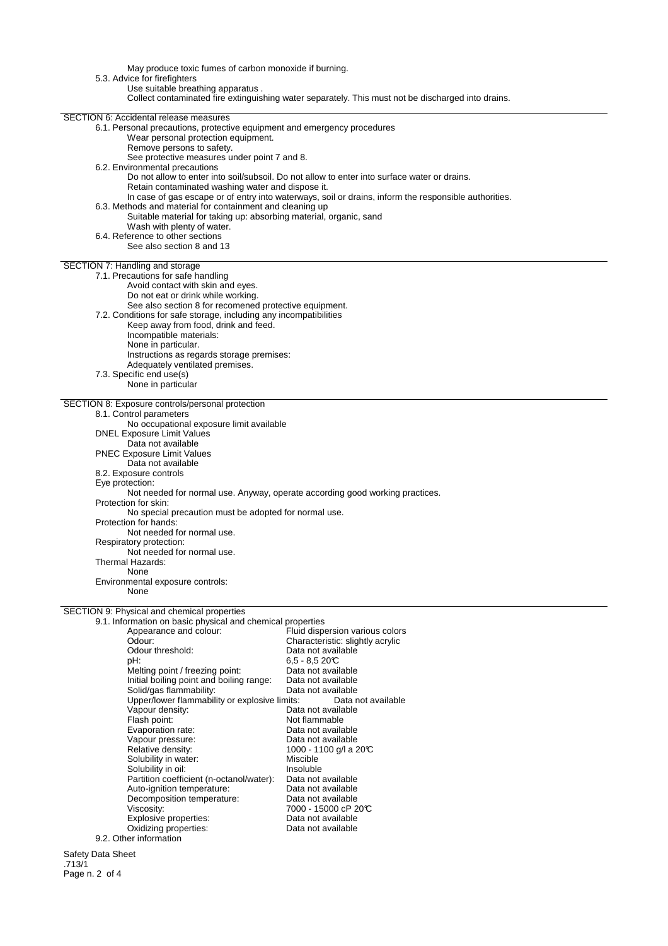May produce toxic fumes of carbon monoxide if burning. 5.3. Advice for firefighters Use suitable breathing apparatus . Collect contaminated fire extinguishing water separately. This must not be discharged into drains. SECTION 6: Accidental release measures 6.1. Personal precautions, protective equipment and emergency procedures Wear personal protection equipment. Remove persons to safety. See protective measures under point 7 and 8. 6.2. Environmental precautions Do not allow to enter into soil/subsoil. Do not allow to enter into surface water or drains. Retain contaminated washing water and dispose it. In case of gas escape or of entry into waterways, soil or drains, inform the responsible authorities. 6.3. Methods and material for containment and cleaning up Suitable material for taking up: absorbing material, organic, sand Wash with plenty of water. 6.4. Reference to other sections See also section 8 and 13 SECTION 7: Handling and storage 7.1. Precautions for safe handling Avoid contact with skin and eyes. Do not eat or drink while working. See also section 8 for recomened protective equipment. 7.2. Conditions for safe storage, including any incompatibilities Keep away from food, drink and feed. Incompatible materials: None in particular. Instructions as regards storage premises: Adequately ventilated premises. 7.3. Specific end use(s) None in particular SECTION 8: Exposure controls/personal protection 8.1. Control parameters No occupational exposure limit available DNEL Exposure Limit Values Data not available PNEC Exposure Limit Values Data not available 8.2. Exposure controls Eye protection: Not needed for normal use. Anyway, operate according good working practices. Protection for skin: No special precaution must be adopted for normal use. Protection for hands: Not needed for normal use. Respiratory protection: Not needed for normal use. Thermal Hazards: None Environmental exposure controls: None SECTION 9: Physical and chemical properties 9.1. Information on basic physical and chemical properties Fluid dispersion various colors reposition of the characteristic: slightly acrylic<br>Odour: Characteristic: slightly acrylic<br>Odour threshold: Data not available Odour threshold:<br>pH: 6,5 - 8,5 20°C<br>Data not available Melting point / freezing point: Data not available<br>
Initial boiling point and boiling range: Data not available Initial boiling point and boiling range: Data not available Solid/gas flammability:<br>
Upper/lower flammability or explosive limits: Data not available Upper/lower flammability or explosive limits:<br>Vapour density: Data Vapour density:<br>
Flash point:<br>
Flash point:<br>
Dot flammable Not flammable<br>Data not available Evaporation rate: Vapour pressure: Data not available Relative density:  $1000 - 1100$  g/l a 20°C Solubility in water:<br>
Solubility in oil:<br>
Miscluble Solubility in oil: Insoluble Insoluble<br>Partition coefficient (n-octanol/water): Data not available

7000 - 15000 cP 20°C<br>Data not available

Safety Data Sheet .713/1 Page n. 2 of 4

Partition coefficient (n-octanol/water): Data not available Auto-ignition temperature: Data not available

Explosive properties:<br>
Oxidizing properties:<br>
Oxidizing properties:<br>
Data not available

Decomposition temperature:<br>Viscosity:

Oxidizing properties:

9.2. Other information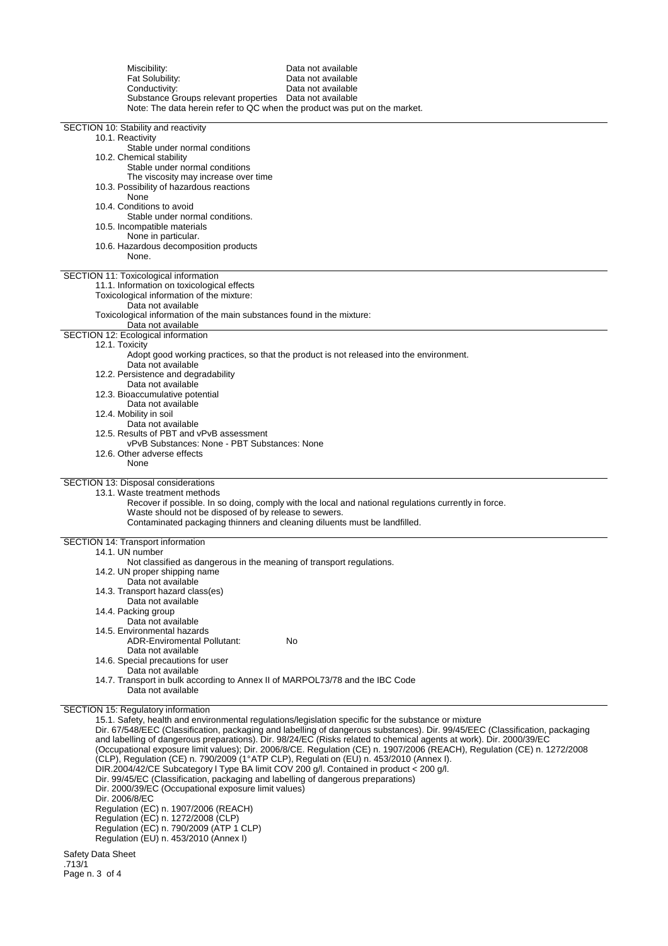| Miscibility:<br>Fat Solubility:<br>Conductivity:<br>Substance Groups relevant properties  Data not available<br>Note: The data herein refer to QC when the product was put on the market.                                                                                                                                                                                                                                                                                                                        | Data not available<br>Data not available<br>Data not available                                                                                                                                                                                                                                                                                                                                                                                                                          |
|------------------------------------------------------------------------------------------------------------------------------------------------------------------------------------------------------------------------------------------------------------------------------------------------------------------------------------------------------------------------------------------------------------------------------------------------------------------------------------------------------------------|-----------------------------------------------------------------------------------------------------------------------------------------------------------------------------------------------------------------------------------------------------------------------------------------------------------------------------------------------------------------------------------------------------------------------------------------------------------------------------------------|
| SECTION 10: Stability and reactivity<br>10.1. Reactivity<br>Stable under normal conditions<br>10.2. Chemical stability<br>Stable under normal conditions                                                                                                                                                                                                                                                                                                                                                         |                                                                                                                                                                                                                                                                                                                                                                                                                                                                                         |
| The viscosity may increase over time<br>10.3. Possibility of hazardous reactions<br>None<br>10.4. Conditions to avoid                                                                                                                                                                                                                                                                                                                                                                                            |                                                                                                                                                                                                                                                                                                                                                                                                                                                                                         |
| Stable under normal conditions.<br>10.5. Incompatible materials<br>None in particular.<br>10.6. Hazardous decomposition products<br>None.                                                                                                                                                                                                                                                                                                                                                                        |                                                                                                                                                                                                                                                                                                                                                                                                                                                                                         |
| SECTION 11: Toxicological information<br>11.1. Information on toxicological effects<br>Toxicological information of the mixture:<br>Data not available<br>Toxicological information of the main substances found in the mixture:                                                                                                                                                                                                                                                                                 |                                                                                                                                                                                                                                                                                                                                                                                                                                                                                         |
| Data not available<br>SECTION 12: Ecological information                                                                                                                                                                                                                                                                                                                                                                                                                                                         |                                                                                                                                                                                                                                                                                                                                                                                                                                                                                         |
| 12.1. Toxicity<br>Data not available<br>12.2. Persistence and degradability                                                                                                                                                                                                                                                                                                                                                                                                                                      | Adopt good working practices, so that the product is not released into the environment.                                                                                                                                                                                                                                                                                                                                                                                                 |
| Data not available<br>12.3. Bioaccumulative potential<br>Data not available                                                                                                                                                                                                                                                                                                                                                                                                                                      |                                                                                                                                                                                                                                                                                                                                                                                                                                                                                         |
| 12.4. Mobility in soil<br>Data not available<br>12.5. Results of PBT and vPvB assessment<br>vPvB Substances: None - PBT Substances: None                                                                                                                                                                                                                                                                                                                                                                         |                                                                                                                                                                                                                                                                                                                                                                                                                                                                                         |
| 12.6. Other adverse effects<br>None                                                                                                                                                                                                                                                                                                                                                                                                                                                                              |                                                                                                                                                                                                                                                                                                                                                                                                                                                                                         |
| SECTION 13: Disposal considerations<br>13.1. Waste treatment methods<br>Waste should not be disposed of by release to sewers.<br>Contaminated packaging thinners and cleaning diluents must be landfilled.                                                                                                                                                                                                                                                                                                       | Recover if possible. In so doing, comply with the local and national regulations currently in force.                                                                                                                                                                                                                                                                                                                                                                                    |
| SECTION 14: Transport information<br>14.1. UN number                                                                                                                                                                                                                                                                                                                                                                                                                                                             |                                                                                                                                                                                                                                                                                                                                                                                                                                                                                         |
| Not classified as dangerous in the meaning of transport regulations.<br>14.2. UN proper shipping name<br>Data not available<br>14.3. Transport hazard class(es)                                                                                                                                                                                                                                                                                                                                                  |                                                                                                                                                                                                                                                                                                                                                                                                                                                                                         |
| Data not available<br>14.4. Packing group<br>Data not available<br>14.5. Environmental hazards                                                                                                                                                                                                                                                                                                                                                                                                                   |                                                                                                                                                                                                                                                                                                                                                                                                                                                                                         |
| <b>ADR-Enviromental Pollutant:</b><br>Data not available<br>14.6. Special precautions for user                                                                                                                                                                                                                                                                                                                                                                                                                   | No                                                                                                                                                                                                                                                                                                                                                                                                                                                                                      |
| Data not available<br>14.7. Transport in bulk according to Annex II of MARPOL73/78 and the IBC Code<br>Data not available                                                                                                                                                                                                                                                                                                                                                                                        |                                                                                                                                                                                                                                                                                                                                                                                                                                                                                         |
| SECTION 15: Regulatory information<br>(CLP), Regulation (CE) n. 790/2009 (1°ATP CLP), Regulati on (EU) n. 453/2010 (Annex I).<br>DIR.2004/42/CE Subcategory I Type BA limit COV 200 g/l. Contained in product < 200 g/l.<br>Dir. 99/45/EC (Classification, packaging and labelling of dangerous preparations)<br>Dir. 2000/39/EC (Occupational exposure limit values)<br>Dir. 2006/8/EC<br>Regulation (EC) n. 1907/2006 (REACH)<br>Regulation (EC) n. 1272/2008 (CLP)<br>Regulation (EC) n. 790/2009 (ATP 1 CLP) | 15.1. Safety, health and environmental regulations/legislation specific for the substance or mixture<br>Dir. 67/548/EEC (Classification, packaging and labelling of dangerous substances). Dir. 99/45/EEC (Classification, packaging<br>and labelling of dangerous preparations). Dir. 98/24/EC (Risks related to chemical agents at work). Dir. 2000/39/EC<br>(Occupational exposure limit values); Dir. 2006/8/CE. Regulation (CE) n. 1907/2006 (REACH), Regulation (CE) n. 1272/2008 |
| Regulation (EU) n. 453/2010 (Annex I)                                                                                                                                                                                                                                                                                                                                                                                                                                                                            |                                                                                                                                                                                                                                                                                                                                                                                                                                                                                         |

Safety Data Sheet .713/1 Page n. 3 of 4